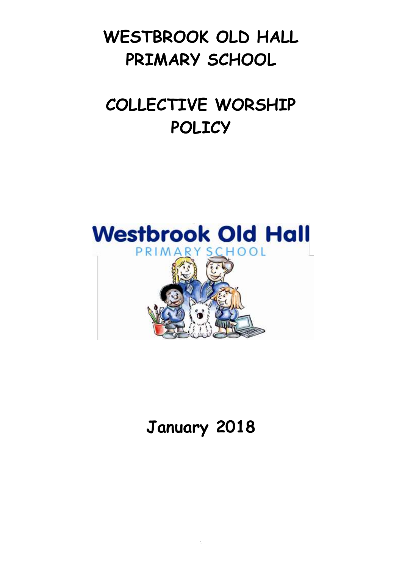# **WESTBROOK OLD HALL PRIMARY SCHOOL**

# **COLLECTIVE WORSHIP POLICY**



# **January 2018**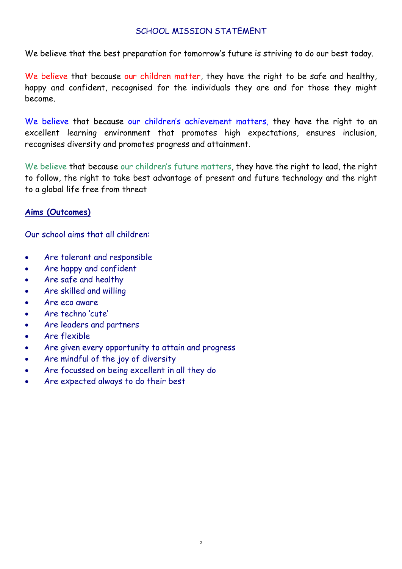# SCHOOL MISSION STATEMENT

We believe that the best preparation for tomorrow's future is striving to do our best today.

We believe that because our children matter, they have the right to be safe and healthy, happy and confident, recognised for the individuals they are and for those they might become.

We believe that because our children's achievement matters, they have the right to an excellent learning environment that promotes high expectations, ensures inclusion, recognises diversity and promotes progress and attainment.

We believe that because our children's future matters, they have the right to lead, the right to follow, the right to take best advantage of present and future technology and the right to a global life free from threat

# **Aims (Outcomes)**

Our school aims that all children:

- Are tolerant and responsible
- Are happy and confident
- Are safe and healthy
- Are skilled and willing
- Are eco aware
- Are techno 'cute'
- Are leaders and partners
- Are flexible
- Are given every opportunity to attain and progress
- Are mindful of the joy of diversity
- Are focussed on being excellent in all they do
- Are expected always to do their best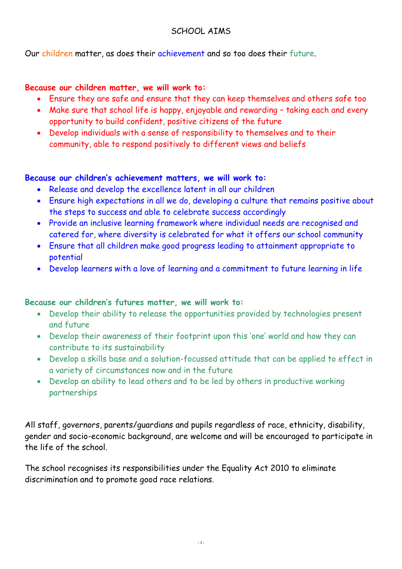# SCHOOL AIMS

Our children matter, as does their achievement and so too does their future.

## **Because our children matter, we will work to:**

- Ensure they are safe and ensure that they can keep themselves and others safe too
- Make sure that school life is happy, enjoyable and rewarding taking each and every opportunity to build confident, positive citizens of the future
- Develop individuals with a sense of responsibility to themselves and to their community, able to respond positively to different views and beliefs

## **Because our children's achievement matters, we will work to:**

- Release and develop the excellence latent in all our children
- Ensure high expectations in all we do, developing a culture that remains positive about the steps to success and able to celebrate success accordingly
- Provide an inclusive learning framework where individual needs are recognised and catered for, where diversity is celebrated for what it offers our school community
- Ensure that all children make good progress leading to attainment appropriate to potential
- Develop learners with a love of learning and a commitment to future learning in life

# **Because our children's futures matter, we will work to:**

- Develop their ability to release the opportunities provided by technologies present and future
- Develop their awareness of their footprint upon this 'one' world and how they can contribute to its sustainability
- Develop a skills base and a solution-focussed attitude that can be applied to effect in a variety of circumstances now and in the future
- Develop an ability to lead others and to be led by others in productive working partnerships

All staff, governors, parents/guardians and pupils regardless of race, ethnicity, disability, gender and socio-economic background, are welcome and will be encouraged to participate in the life of the school.

The school recognises its responsibilities under the Equality Act 2010 to eliminate discrimination and to promote good race relations.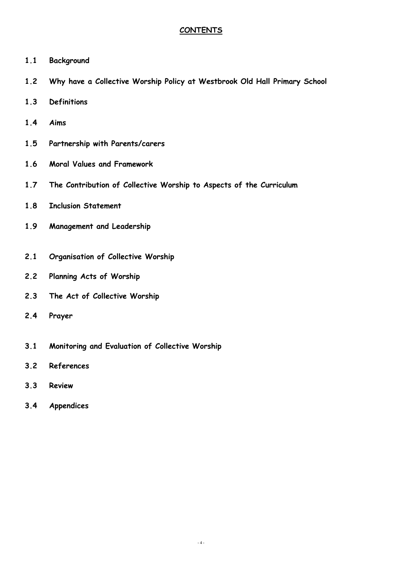#### **CONTENTS**

- **1.1 Background**
- **1.2 Why have a Collective Worship Policy at Westbrook Old Hall Primary School**
- **1.3 Definitions**
- **1.4 Aims**
- **1.5 Partnership with Parents/carers**
- **1.6 Moral Values and Framework**
- **1.7 The Contribution of Collective Worship to Aspects of the Curriculum**
- **1.8 Inclusion Statement**
- **1.9 Management and Leadership**
- **2.1 Organisation of Collective Worship**
- **2.2 Planning Acts of Worship**
- **2.3 The Act of Collective Worship**
- **2.4 Prayer**
- **3.1 Monitoring and Evaluation of Collective Worship**
- **3.2 References**
- **3.3 Review**
- **3.4 Appendices**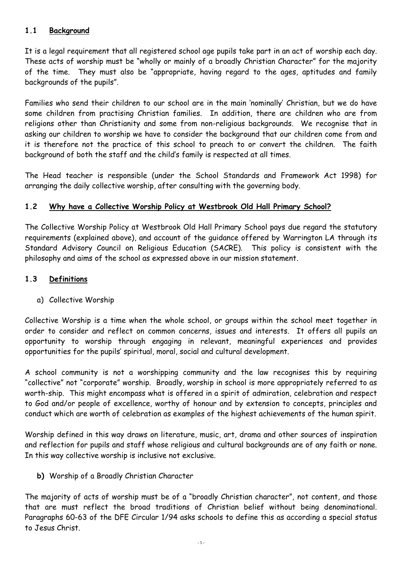#### **1.1 Background**

It is a legal requirement that all registered school age pupils take part in an act of worship each day. These acts of worship must be "wholly or mainly of a broadly Christian Character" for the majority of the time. They must also be "appropriate, having regard to the ages, aptitudes and family backgrounds of the pupils".

Families who send their children to our school are in the main 'nominally' Christian, but we do have some children from practising Christian families. In addition, there are children who are from religions other than Christianity and some from non-religious backgrounds. We recognise that in asking our children to worship we have to consider the background that our children come from and it is therefore not the practice of this school to preach to or convert the children. The faith background of both the staff and the child's family is respected at all times.

The Head teacher is responsible (under the School Standards and Framework Act 1998) for arranging the daily collective worship, after consulting with the governing body.

#### **1.2 Why have a Collective Worship Policy at Westbrook Old Hall Primary School?**

The Collective Worship Policy at Westbrook Old Hall Primary School pays due regard the statutory requirements (explained above), and account of the guidance offered by Warrington LA through its Standard Advisory Council on Religious Education (SACRE). This policy is consistent with the philosophy and aims of the school as expressed above in our mission statement.

#### **1.3 Definitions**

a) Collective Worship

Collective Worship is a time when the whole school, or groups within the school meet together in order to consider and reflect on common concerns, issues and interests. It offers all pupils an opportunity to worship through engaging in relevant, meaningful experiences and provides opportunities for the pupils' spiritual, moral, social and cultural development.

A school community is not a worshipping community and the law recognises this by requiring "collective" not "corporate" worship. Broadly, worship in school is more appropriately referred to as worth-ship. This might encompass what is offered in a spirit of admiration, celebration and respect to God and/or people of excellence, worthy of honour and by extension to concepts, principles and conduct which are worth of celebration as examples of the highest achievements of the human spirit.

Worship defined in this way draws on literature, music, art, drama and other sources of inspiration and reflection for pupils and staff whose religious and cultural backgrounds are of any faith or none. In this way collective worship is inclusive not exclusive.

**b)** Worship of a Broadly Christian Character

The majority of acts of worship must be of a "broadly Christian character", not content, and those that are must reflect the broad traditions of Christian belief without being denominational. Paragraphs 60-63 of the DFE Circular 1/94 asks schools to define this as according a special status to Jesus Christ.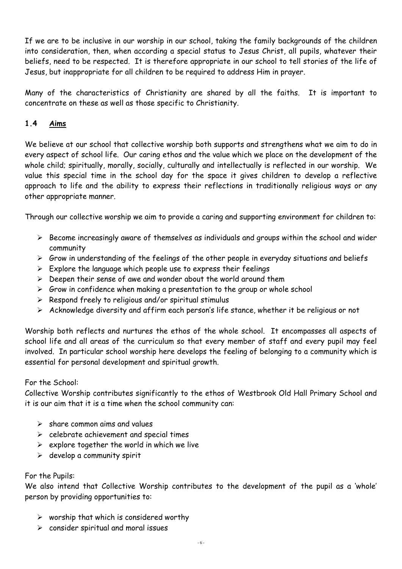If we are to be inclusive in our worship in our school, taking the family backgrounds of the children into consideration, then, when according a special status to Jesus Christ, all pupils, whatever their beliefs, need to be respected. It is therefore appropriate in our school to tell stories of the life of Jesus, but inappropriate for all children to be required to address Him in prayer.

Many of the characteristics of Christianity are shared by all the faiths. It is important to concentrate on these as well as those specific to Christianity.

## **1.4 Aims**

We believe at our school that collective worship both supports and strengthens what we aim to do in every aspect of school life. Our caring ethos and the value which we place on the development of the whole child; spiritually, morally, socially, culturally and intellectually is reflected in our worship. We value this special time in the school day for the space it gives children to develop a reflective approach to life and the ability to express their reflections in traditionally religious ways or any other appropriate manner.

Through our collective worship we aim to provide a caring and supporting environment for children to:

- $\triangleright$  Become increasingly aware of themselves as individuals and groups within the school and wider community
- $\triangleright$  Grow in understanding of the feelings of the other people in everyday situations and beliefs
- $\triangleright$  Explore the language which people use to express their feelings
- $\triangleright$  Deepen their sense of awe and wonder about the world around them
- $\triangleright$  Grow in confidence when making a presentation to the group or whole school
- $\triangleright$  Respond freely to religious and/or spiritual stimulus
- $\triangleright$  Acknowledge diversity and affirm each person's life stance, whether it be religious or not

Worship both reflects and nurtures the ethos of the whole school. It encompasses all aspects of school life and all areas of the curriculum so that every member of staff and every pupil may feel involved. In particular school worship here develops the feeling of belonging to a community which is essential for personal development and spiritual growth.

#### For the School:

Collective Worship contributes significantly to the ethos of Westbrook Old Hall Primary School and it is our aim that it is a time when the school community can:

- $\triangleright$  share common aims and values
- $\triangleright$  celebrate achievement and special times
- $\triangleright$  explore together the world in which we live
- $\triangleright$  develop a community spirit

#### For the Pupils:

We also intend that Collective Worship contributes to the development of the pupil as a 'whole' person by providing opportunities to:

- $\triangleright$  worship that which is considered worthy
- $\triangleright$  consider spiritual and moral issues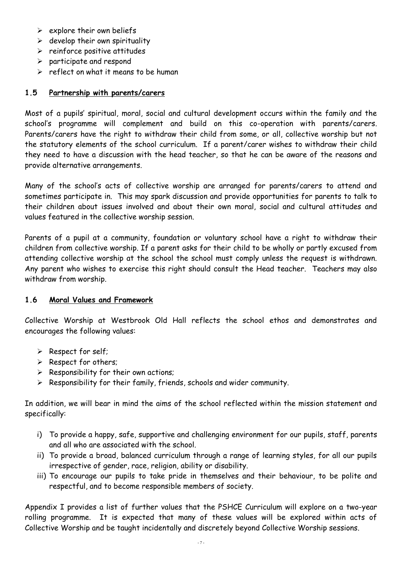- $\triangleright$  explore their own beliefs
- $\triangleright$  develop their own spirituality
- $\triangleright$  reinforce positive attitudes
- $\triangleright$  participate and respond
- $\triangleright$  reflect on what it means to be human

#### **1.5 Partnership with parents/carers**

Most of a pupils' spiritual, moral, social and cultural development occurs within the family and the school's programme will complement and build on this co-operation with parents/carers. Parents/carers have the right to withdraw their child from some, or all, collective worship but not the statutory elements of the school curriculum. If a parent/carer wishes to withdraw their child they need to have a discussion with the head teacher, so that he can be aware of the reasons and provide alternative arrangements.

Many of the school's acts of collective worship are arranged for parents/carers to attend and sometimes participate in. This may spark discussion and provide opportunities for parents to talk to their children about issues involved and about their own moral, social and cultural attitudes and values featured in the collective worship session.

Parents of a pupil at a community, foundation or voluntary school have a right to withdraw their children from collective worship. If a parent asks for their child to be wholly or partly excused from attending collective worship at the school the school must comply unless the request is withdrawn. Any parent who wishes to exercise this right should consult the Head teacher. Teachers may also withdraw from worship.

#### **1.6 Moral Values and Framework**

Collective Worship at Westbrook Old Hall reflects the school ethos and demonstrates and encourages the following values:

- $\triangleright$  Respect for self;
- $\triangleright$  Respect for others;
- $\triangleright$  Responsibility for their own actions;
- $\triangleright$  Responsibility for their family, friends, schools and wider community.

In addition, we will bear in mind the aims of the school reflected within the mission statement and specifically:

- i) To provide a happy, safe, supportive and challenging environment for our pupils, staff, parents and all who are associated with the school.
- ii) To provide a broad, balanced curriculum through a range of learning styles, for all our pupils irrespective of gender, race, religion, ability or disability.
- iii) To encourage our pupils to take pride in themselves and their behaviour, to be polite and respectful, and to become responsible members of society.

Appendix I provides a list of further values that the PSHCE Curriculum will explore on a two-year rolling programme. It is expected that many of these values will be explored within acts of Collective Worship and be taught incidentally and discretely beyond Collective Worship sessions.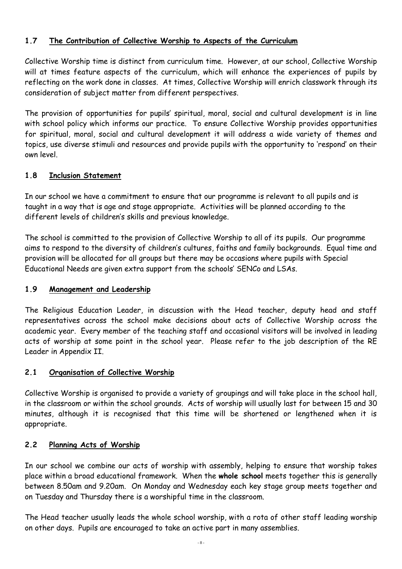# **1.7 The Contribution of Collective Worship to Aspects of the Curriculum**

Collective Worship time is distinct from curriculum time. However, at our school, Collective Worship will at times feature aspects of the curriculum, which will enhance the experiences of pupils by reflecting on the work done in classes. At times, Collective Worship will enrich classwork through its consideration of subject matter from different perspectives.

The provision of opportunities for pupils' spiritual, moral, social and cultural development is in line with school policy which informs our practice. To ensure Collective Worship provides opportunities for spiritual, moral, social and cultural development it will address a wide variety of themes and topics, use diverse stimuli and resources and provide pupils with the opportunity to 'respond' on their own level.

#### **1.8 Inclusion Statement**

In our school we have a commitment to ensure that our programme is relevant to all pupils and is taught in a way that is age and stage appropriate. Activities will be planned according to the different levels of children's skills and previous knowledge.

The school is committed to the provision of Collective Worship to all of its pupils. Our programme aims to respond to the diversity of children's cultures, faiths and family backgrounds. Equal time and provision will be allocated for all groups but there may be occasions where pupils with Special Educational Needs are given extra support from the schools' SENCo and LSAs.

#### **1.9 Management and Leadership**

The Religious Education Leader, in discussion with the Head teacher, deputy head and staff representatives across the school make decisions about acts of Collective Worship across the academic year. Every member of the teaching staff and occasional visitors will be involved in leading acts of worship at some point in the school year. Please refer to the job description of the RE Leader in Appendix II.

#### **2.1 Organisation of Collective Worship**

Collective Worship is organised to provide a variety of groupings and will take place in the school hall, in the classroom or within the school grounds. Acts of worship will usually last for between 15 and 30 minutes, although it is recognised that this time will be shortened or lengthened when it is appropriate.

#### **2.2 Planning Acts of Worship**

In our school we combine our acts of worship with assembly, helping to ensure that worship takes place within a broad educational framework. When the **whole school** meets together this is generally between 8.50am and 9.20am. On Monday and Wednesday each key stage group meets together and on Tuesday and Thursday there is a worshipful time in the classroom.

The Head teacher usually leads the whole school worship, with a rota of other staff leading worship on other days. Pupils are encouraged to take an active part in many assemblies.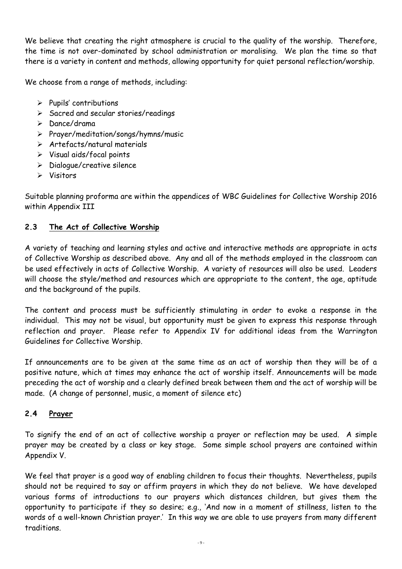We believe that creating the right atmosphere is crucial to the quality of the worship. Therefore, the time is not over-dominated by school administration or moralising. We plan the time so that there is a variety in content and methods, allowing opportunity for quiet personal reflection/worship.

We choose from a range of methods, including:

- $\triangleright$  Pupils' contributions
- $\triangleright$  Sacred and secular stories/readings
- $\triangleright$  Dance/drama
- Prayer/meditation/songs/hymns/music
- $\triangleright$  Artefacts/natural materials
- Visual aids/focal points
- $\triangleright$  Dialogue/creative silence
- Visitors

Suitable planning proforma are within the appendices of WBC Guidelines for Collective Worship 2016 within Appendix III

## **2.3 The Act of Collective Worship**

A variety of teaching and learning styles and active and interactive methods are appropriate in acts of Collective Worship as described above. Any and all of the methods employed in the classroom can be used effectively in acts of Collective Worship. A variety of resources will also be used. Leaders will choose the style/method and resources which are appropriate to the content, the age, aptitude and the background of the pupils.

The content and process must be sufficiently stimulating in order to evoke a response in the individual. This may not be visual, but opportunity must be given to express this response through reflection and prayer. Please refer to Appendix IV for additional ideas from the Warrington Guidelines for Collective Worship.

If announcements are to be given at the same time as an act of worship then they will be of a positive nature, which at times may enhance the act of worship itself. Announcements will be made preceding the act of worship and a clearly defined break between them and the act of worship will be made. (A change of personnel, music, a moment of silence etc)

#### **2.4 Prayer**

To signify the end of an act of collective worship a prayer or reflection may be used. A simple prayer may be created by a class or key stage. Some simple school prayers are contained within Appendix V.

We feel that prayer is a good way of enabling children to focus their thoughts. Nevertheless, pupils should not be required to say or affirm prayers in which they do not believe. We have developed various forms of introductions to our prayers which distances children, but gives them the opportunity to participate if they so desire; e.g., 'And now in a moment of stillness, listen to the words of a well-known Christian prayer.' In this way we are able to use prayers from many different traditions.